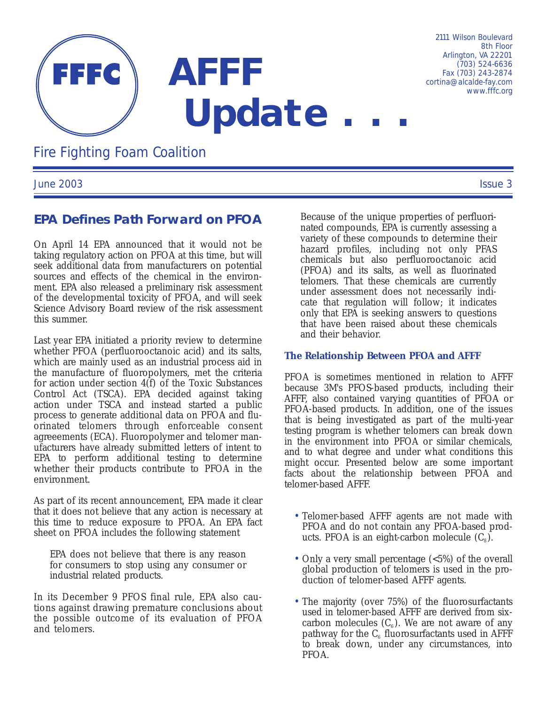

*2111 Wilson Boulevard 8th Floor Arlington, VA 22201 (703) 524-6636 Fax (703) 243-2874 cortina@alcalde-fay.com www.fffc.org*

*Fire Fighting Foam Coalition*

*June 2003 Issue 3*

# **EPA Defines Path Forward on PFOA**

On April 14 EPA announced that it would not be taking regulatory action on PFOA at this time, but will seek additional data from manufacturers on potential sources and effects of the chemical in the environment. EPA also released a preliminary risk assessment of the developmental toxicity of PFOA, and will seek Science Advisory Board review of the risk assessment this summer.

Last year EPA initiated a priority review to determine whether PFOA (perfluorooctanoic acid) and its salts, which are mainly used as an industrial process aid in the manufacture of fluoropolymers, met the criteria for action under section 4(f) of the Toxic Substances Control Act (TSCA). EPA decided against taking action under TSCA and instead started a public process to generate additional data on PFOA and fluorinated telomers through enforceable consent agreeements (ECA). Fluoropolymer and telomer manufacturers have already submitted letters of intent to EPA to perform additional testing to determine whether their products contribute to PFOA in the environment.

As part of its recent announcement, EPA made it clear that it does not believe that any action is necessary at this time to reduce exposure to PFOA. An EPA fact sheet on PFOA includes the following statement

EPA does not believe that there is any reason for consumers to stop using any consumer or industrial related products.

In its December 9 PFOS final rule, EPA also cautions against drawing premature conclusions about the possible outcome of its evaluation of PFOA and telomers.

Because of the unique properties of perfluorinated compounds, EPA is currently assessing a variety of these compounds to determine their hazard profiles, including not only PFAS chemicals but also perfluorooctanoic acid (PFOA) and its salts, as well as fluorinated telomers. That these chemicals are currently under assessment does not necessarily indicate that regulation will follow; it indicates only that EPA is seeking answers to questions that have been raised about these chemicals and their behavior.

### **The Relationship Between PFOA and AFFF**

PFOA is sometimes mentioned in relation to AFFF because 3M's PFOS-based products, including their AFFF, also contained varying quantities of PFOA or PFOA-based products. In addition, one of the issues that is being investigated as part of the multi-year testing program is whether telomers can break down in the environment into PFOA or similar chemicals, and to what degree and under what conditions this might occur. Presented below are some important facts about the relationship between PFOA and telomer-based AFFF.

- •Telomer-based AFFF agents are not made with PFOA and do not contain any PFOA-based products. PFOA is an eight-carbon molecule  $(C_8)$ .
- Only a very small percentage (<5%) of the overall global production of telomers is used in the production of telomer-based AFFF agents.
- •The majority (over 75%) of the fluorosurfactants used in telomer-based AFFF are derived from sixcarbon molecules  $(C_6)$ . We are not aware of any pathway for the  $\mathrm{C}_6$  fluorosurfactants used in AFFF to break down, under any circumstances, into PFOA.